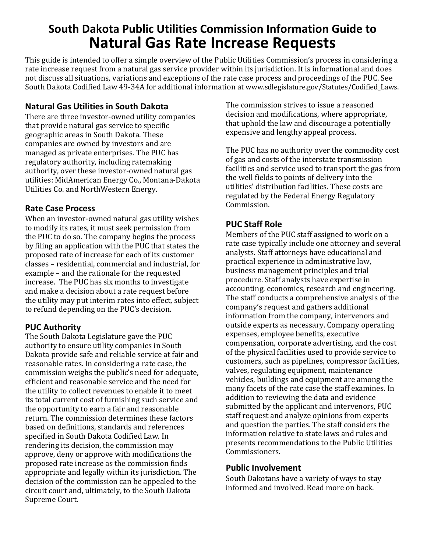# **South Dakota Public Utilities Commission Information Guide to Natural Gas Rate Increase Requests**

This guide is intended to offer a simple overview of the Public Utilities Commission's process in considering a rate increase request from a natural gas service provider within its jurisdiction. It is informational and does not discuss all situations, variations and exceptions of the rate case process and proceedings of the PUC. See South Dakota Codified Law 49-34A for additional information at www.sdlegislature.gov/Statutes/Codified\_Laws.

#### **Natural Gas Utilities in South Dakota**

There are three investor-owned utility companies that provide natural gas service to specific geographic areas in South Dakota. These companies are owned by investors and are managed as private enterprises. The PUC has regulatory authority, including ratemaking authority, over these investor-owned natural gas utilities: MidAmerican Energy Co., Montana-Dakota Utilities Co. and NorthWestern Energy.

#### **Rate Case Process**

When an investor-owned natural gas utility wishes to modify its rates, it must seek permission from the PUC to do so. The company begins the process by filing an application with the PUC that states the proposed rate of increase for each of its customer classes – residential, commercial and industrial, for example – and the rationale for the requested increase. The PUC has six months to investigate and make a decision about a rate request before the utility may put interim rates into effect, subject to refund depending on the PUC's decision.

## **PUC Authority**

The South Dakota Legislature gave the PUC authority to ensure utility companies in South Dakota provide safe and reliable service at fair and reasonable rates. In considering a rate case, the commission weighs the public's need for adequate, efficient and reasonable service and the need for the utility to collect revenues to enable it to meet its total current cost of furnishing such service and the opportunity to earn a fair and reasonable return. The commission determines these factors based on definitions, standards and references specified in South Dakota Codified Law. In rendering its decision, the commission may approve, deny or approve with modifications the proposed rate increase as the commission finds appropriate and legally within its jurisdiction. The decision of the commission can be appealed to the circuit court and, ultimately, to the South Dakota Supreme Court.

The commission strives to issue a reasoned decision and modifications, where appropriate, that uphold the law and discourage a potentially expensive and lengthy appeal process.

The PUC has no authority over the commodity cost of gas and costs of the interstate transmission facilities and service used to transport the gas from the well fields to points of delivery into the utilities' distribution facilities. These costs are regulated by the Federal Energy Regulatory Commission.

### **PUC Staff Role**

Members of the PUC staff assigned to work on a rate case typically include one attorney and several analysts. Staff attorneys have educational and practical experience in administrative law, business management principles and trial procedure. Staff analysts have expertise in accounting, economics, research and engineering. The staff conducts a comprehensive analysis of the company's request and gathers additional information from the company, intervenors and outside experts as necessary. Company operating expenses, employee benefits, executive compensation, corporate advertising, and the cost of the physical facilities used to provide service to customers, such as pipelines, compressor facilities, valves, regulating equipment, maintenance vehicles, buildings and equipment are among the many facets of the rate case the staff examines. In addition to reviewing the data and evidence submitted by the applicant and intervenors, PUC staff request and analyze opinions from experts and question the parties. The staff considers the information relative to state laws and rules and presents recommendations to the Public Utilities Commissioners.

#### **Public Involvement**

South Dakotans have a variety of ways to stay informed and involved. Read more on back.